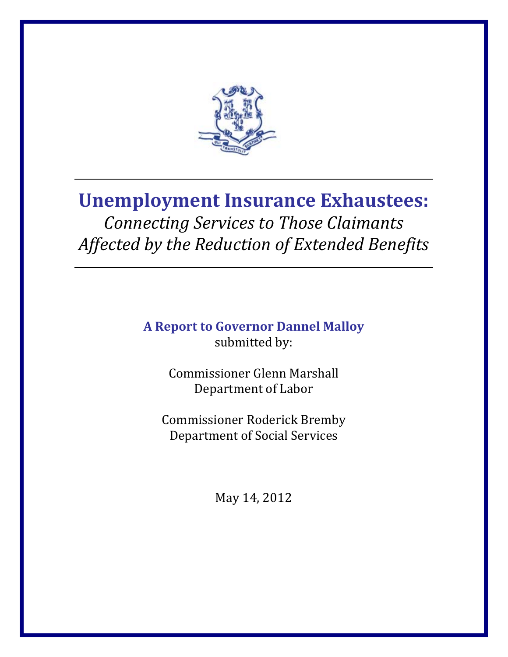

# **Unemployment Insurance Exhaustees:**

# *Connecting Services to Those Claimants Affected by the Reduction of Extended Benefits*

**A Report to Governor Dannel Malloy** submitted by:

> Commissioner Glenn Marshall Department of Labor

Commissioner Roderick Bremby Department of Social Services

May 14, 2012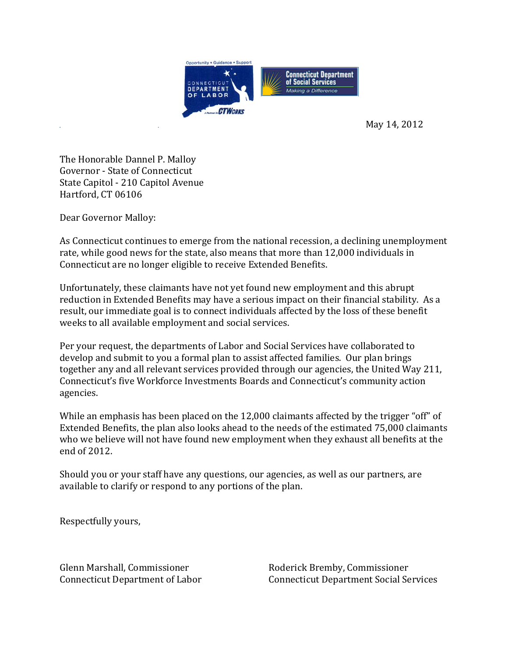

May 14, 2012

The Honorable Dannel P. Malloy Governor ‐ State of Connecticut State Capitol ‐ 210 Capitol Avenue Hartford, CT 06106

Dear Governor Malloy:

As Connecticut continues to emerge from the national recession, a declining unemployment rate, while good news for the state, also means that more than 12,000 individuals in Connecticut are no longer eligible to receive Extended Benefits.

Unfortunately, these claimants have not yet found new employment and this abrupt reduction in Extended Benefits may have a serious impact on their financial stability. As a result, our immediate goal is to connect individuals affected by the loss of these benefit weeks to all available employment and social services.

Per your request, the departments of Labor and Social Services have collaborated to develop and submit to you a formal plan to assist affected families. Our plan brings together any and all relevant services provided through our agencies, the United Way 211, Connecticut's five Workforce Investments Boards and Connecticut's community action agencies.

While an emphasis has been placed on the 12,000 claimants affected by the trigger "off" of Extended Benefits, the plan also looks ahead to the needs of the estimated 75,000 claimants who we believe will not have found new employment when they exhaust all benefits at the end of 2012.

Should you or your staff have any questions, our agencies, as well as our partners, are available to clarify or respond to any portions of the plan.

Respectfully yours,

Glenn Marshall, Commissioner Roderick Bremby, Commissioner

Connecticut Department of Labor Connecticut Department Social Services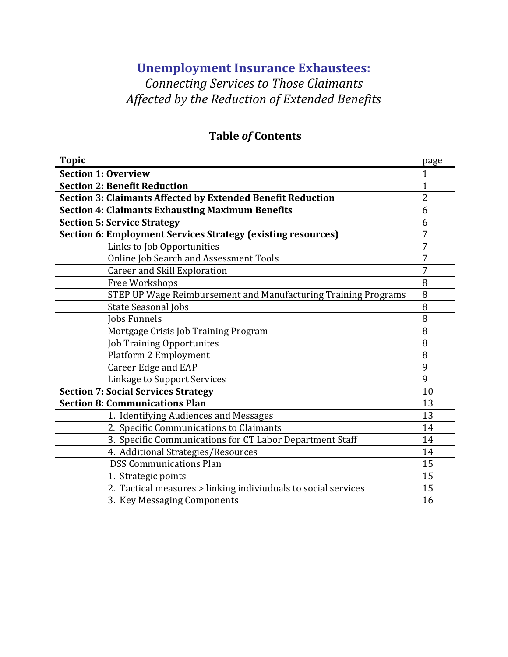# **Unemployment Insurance Exhaustees:**

# *Connecting Services to Those Claimants Affected by the Reduction of Extended Benefits*

# **Table** *of* **Contents**

| <b>Topic</b>                                                        | page           |
|---------------------------------------------------------------------|----------------|
| <b>Section 1: Overview</b>                                          | 1              |
| <b>Section 2: Benefit Reduction</b>                                 | $\overline{1}$ |
| <b>Section 3: Claimants Affected by Extended Benefit Reduction</b>  | $\overline{2}$ |
| <b>Section 4: Claimants Exhausting Maximum Benefits</b>             | 6              |
| <b>Section 5: Service Strategy</b>                                  | 6              |
| <b>Section 6: Employment Services Strategy (existing resources)</b> | 7              |
| Links to Job Opportunities                                          | 7              |
| <b>Online Job Search and Assessment Tools</b>                       | 7              |
| <b>Career and Skill Exploration</b>                                 | 7              |
| Free Workshops                                                      | 8              |
| STEP UP Wage Reimbursement and Manufacturing Training Programs      | 8              |
| State Seasonal Jobs                                                 | 8              |
| Jobs Funnels                                                        | 8              |
| Mortgage Crisis Job Training Program                                | 8              |
| Job Training Opportunites                                           | 8              |
| Platform 2 Employment                                               | 8              |
| Career Edge and EAP                                                 | 9              |
| <b>Linkage to Support Services</b>                                  | 9              |
| <b>Section 7: Social Services Strategy</b>                          | 10             |
| <b>Section 8: Communications Plan</b>                               | 13             |
| 1. Identifying Audiences and Messages                               | 13             |
| 2. Specific Communications to Claimants                             | 14             |
| 3. Specific Communications for CT Labor Department Staff            | 14             |
| 4. Additional Strategies/Resources                                  | 14             |
| <b>DSS Communications Plan</b>                                      | 15             |
| 1. Strategic points                                                 | 15             |
| 2. Tactical measures > linking indiviuduals to social services      | 15             |
| 3. Key Messaging Components                                         | 16             |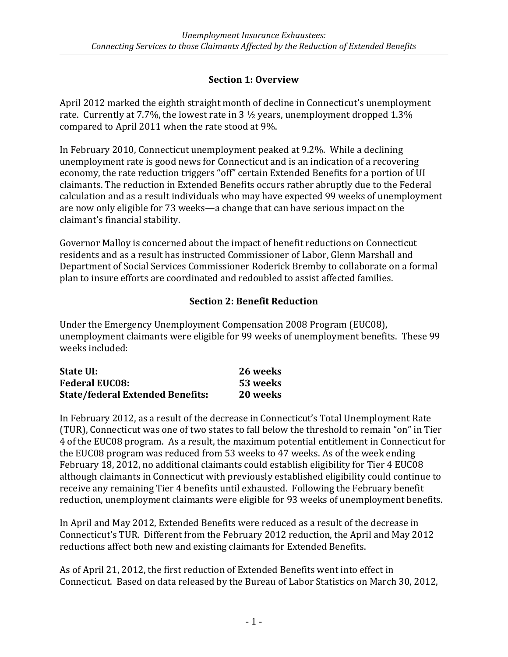## **Section 1: Overview**

April 2012 marked the eighth straight month of decline in Connecticut's unemployment rate. Currently at 7.7%, the lowest rate in 3 ½ years, unemployment dropped 1.3% compared to April 2011 when the rate stood at 9%.

In February 2010, Connecticut unemployment peaked at 9.2%. While a declining unemployment rate is good news for Connecticut and is an indication of a recovering economy, the rate reduction triggers "off" certain Extended Benefits for a portion of UI claimants. The reduction in Extended Benefits occurs rather abruptly due to the Federal calculation and as a result individuals who may have expected 99 weeks of unemployment are now only eligible for 73 weeks—a change that can have serious impact on the claimant's financial stability.

Governor Malloy is concerned about the impact of benefit reductions on Connecticut residents and as a result has instructed Commissioner of Labor, Glenn Marshall and Department of Social Services Commissioner Roderick Bremby to collaborate on a formal plan to insure efforts are coordinated and redoubled to assist affected families.

#### **Section 2: Benefit Reduction**

Under the Emergency Unemployment Compensation 2008 Program (EUC08), unemployment claimants were eligible for 99 weeks of unemployment benefits. These 99 weeks included:

| <b>State UI:</b>                        | 26 weeks |
|-----------------------------------------|----------|
| <b>Federal EUC08:</b>                   | 53 weeks |
| <b>State/federal Extended Benefits:</b> | 20 weeks |

In February 2012, as a result of the decrease in Connecticut's Total Unemployment Rate (TUR), Connecticut was one of two states to fall below the threshold to remain "on" in Tier 4 of the EUC08 program. As a result, the maximum potential entitlement in Connecticut for the EUC08 program was reduced from 53 weeks to 47 weeks. As of the week ending February 18, 2012, no additional claimants could establish eligibility for Tier 4 EUC08 although claimants in Connecticut with previously established eligibility could continue to receive any remaining Tier 4 benefits until exhausted. Following the February benefit reduction, unemployment claimants were eligible for 93 weeks of unemployment benefits.

In April and May 2012, Extended Benefits were reduced as a result of the decrease in Connecticut's TUR. Different from the February 2012 reduction, the April and May 2012 reductions affect both new and existing claimants for Extended Benefits.

As of April 21, 2012, the first reduction of Extended Benefits went into effect in Connecticut. Based on data released by the Bureau of Labor Statistics on March 30, 2012,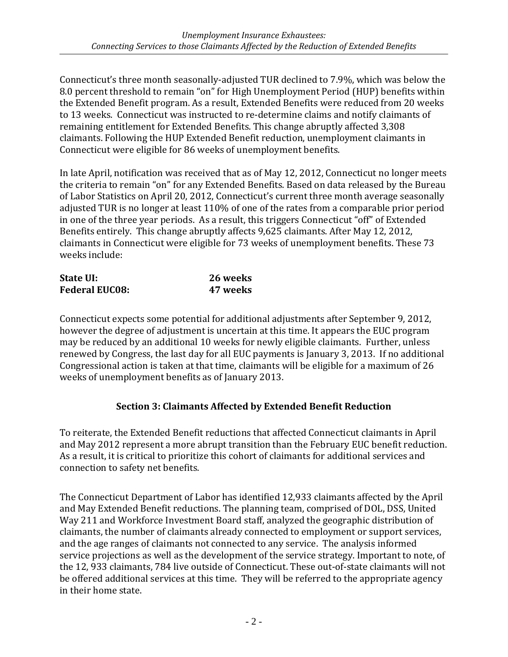Connecticut's three month seasonally‐adjusted TUR declined to 7.9%, which was below the 8.0 percent threshold to remain "on" for High Unemployment Period (HUP) benefits within the Extended Benefit program. As a result, Extended Benefits were reduced from 20 weeks to 13 weeks. Connecticut was instructed to re‐determine claims and notify claimants of remaining entitlement for Extended Benefits. This change abruptly affected 3,308 claimants. Following the HUP Extended Benefit reduction, unemployment claimants in Connecticut were eligible for 86 weeks of unemployment benefits.

In late April, notification was received that as of May 12, 2012, Connecticut no longer meets the criteria to remain "on" for any Extended Benefits. Based on data released by the Bureau of Labor Statistics on April 20, 2012, Connecticut's current three month average seasonally adjusted TUR is no longer at least 110% of one of the rates from a comparable prior period in one of the three year periods. As a result, this triggers Connecticut "off" of Extended Benefits entirely. This change abruptly affects 9,625 claimants. After May 12, 2012, claimants in Connecticut were eligible for 73 weeks of unemployment benefits. These 73 weeks include:

| State UI:             | 26 weeks |
|-----------------------|----------|
| <b>Federal EUC08:</b> | 47 weeks |

Connecticut expects some potential for additional adjustments after September 9, 2012, however the degree of adjustment is uncertain at this time. It appears the EUC program may be reduced by an additional 10 weeks for newly eligible claimants. Further, unless renewed by Congress, the last day for all EUC payments is January 3, 2013. If no additional Congressional action is taken at that time, claimants will be eligible for a maximum of 26 weeks of unemployment benefits as of January 2013.

## **Section 3: Claimants Affected by Extended Benefit Reduction**

To reiterate, the Extended Benefit reductions that affected Connecticut claimants in April and May 2012 represent a more abrupt transition than the February EUC benefit reduction. As a result, it is critical to prioritize this cohort of claimants for additional services and connection to safety net benefits.

The Connecticut Department of Labor has identified 12,933 claimants affected by the April and May Extended Benefit reductions. The planning team, comprised of DOL, DSS, United Way 211 and Workforce Investment Board staff, analyzed the geographic distribution of claimants, the number of claimants already connected to employment or support services, and the age ranges of claimants not connected to any service. The analysis informed service projections as well as the development of the service strategy. Important to note, of the 12, 933 claimants, 784 live outside of Connecticut. These out‐of‐state claimants will not be offered additional services at this time. They will be referred to the appropriate agency in their home state.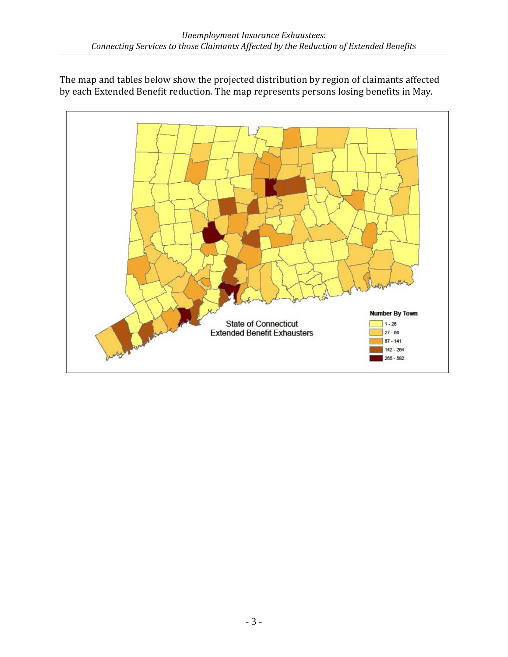The map and tables below show the projected distribution by region of claimants affected by each Extended Benefit reduction. The map represents persons losing benefits in May.

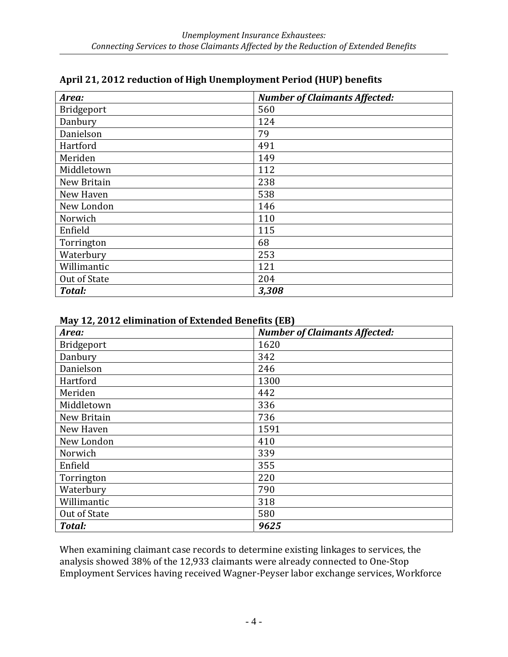|  | April 21, 2012 reduction of High Unemployment Period (HUP) benefits |  |  |  |  |
|--|---------------------------------------------------------------------|--|--|--|--|
|  |                                                                     |  |  |  |  |

| Area:         | <b>Number of Claimants Affected:</b> |
|---------------|--------------------------------------|
| Bridgeport    | 560                                  |
| Danbury       | 124                                  |
| Danielson     | 79                                   |
| Hartford      | 491                                  |
| Meriden       | 149                                  |
| Middletown    | 112                                  |
| New Britain   | 238                                  |
| New Haven     | 538                                  |
| New London    | 146                                  |
| Norwich       | 110                                  |
| Enfield       | 115                                  |
| Torrington    | 68                                   |
| Waterbury     | 253                                  |
| Willimantic   | 121                                  |
| Out of State  | 204                                  |
| <b>Total:</b> | 3,308                                |

| Area:        | <b>Number of Claimants Affected:</b> |
|--------------|--------------------------------------|
| Bridgeport   | 1620                                 |
| Danbury      | 342                                  |
| Danielson    | 246                                  |
| Hartford     | 1300                                 |
| Meriden      | 442                                  |
| Middletown   | 336                                  |
| New Britain  | 736                                  |
| New Haven    | 1591                                 |
| New London   | 410                                  |
| Norwich      | 339                                  |
| Enfield      | 355                                  |
| Torrington   | 220                                  |
| Waterbury    | 790                                  |
| Willimantic  | 318                                  |
| Out of State | 580                                  |
| Total:       | 9625                                 |

When examining claimant case records to determine existing linkages to services, the analysis showed 38% of the 12,933 claimants were already connected to One‐Stop Employment Services having received Wagner‐Peyser labor exchange services, Workforce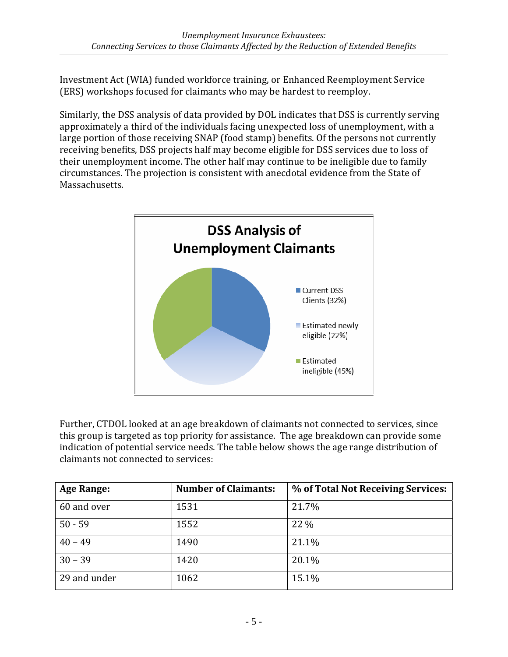Investment Act (WIA) funded workforce training, or Enhanced Reemployment Service (ERS) workshops focused for claimants who may be hardest to reemploy.

Similarly, the DSS analysis of data provided by DOL indicates that DSS is currently serving approximately a third of the individuals facing unexpected loss of unemployment, with a large portion of those receiving SNAP (food stamp) benefits. Of the persons not currently receiving benefits, DSS projects half may become eligible for DSS services due to loss of their unemployment income. The other half may continue to be ineligible due to family circumstances. The projection is consistent with anecdotal evidence from the State of Massachusetts.



Further, CTDOL looked at an age breakdown of claimants not connected to services, since this group is targeted as top priority for assistance. The age breakdown can provide some indication of potential service needs. The table below shows the age range distribution of claimants not connected to services:

| <b>Age Range:</b> | <b>Number of Claimants:</b> | % of Total Not Receiving Services: |
|-------------------|-----------------------------|------------------------------------|
| 60 and over       | 1531                        | 21.7%                              |
| $50 - 59$         | 1552                        | 22 %                               |
| $40 - 49$         | 1490                        | 21.1%                              |
| $30 - 39$         | 1420                        | 20.1%                              |
| 29 and under      | 1062                        | 15.1%                              |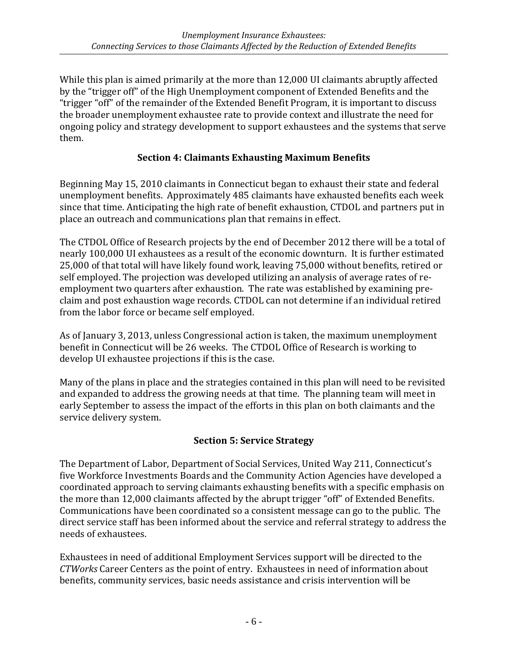While this plan is aimed primarily at the more than 12,000 UI claimants abruptly affected by the "trigger off" of the High Unemployment component of Extended Benefits and the "trigger "off" of the remainder of the Extended Benefit Program, it is important to discuss the broader unemployment exhaustee rate to provide context and illustrate the need for ongoing policy and strategy development to support exhaustees and the systems that serve them.

## **Section 4: Claimants Exhausting Maximum Benefits**

Beginning May 15, 2010 claimants in Connecticut began to exhaust their state and federal unemployment benefits. Approximately 485 claimants have exhausted benefits each week since that time. Anticipating the high rate of benefit exhaustion, CTDOL and partners put in place an outreach and communications plan that remains in effect.

The CTDOL Office of Research projects by the end of December 2012 there will be a total of nearly 100,000 UI exhaustees as a result of the economic downturn. It is further estimated 25,000 of that total will have likely found work, leaving 75,000 without benefits, retired or self employed. The projection was developed utilizing an analysis of average rates of re‐ employment two quarters after exhaustion. The rate was established by examining pre‐ claim and post exhaustion wage records. CTDOL can not determine if an individual retired from the labor force or became self employed.

As of January 3, 2013, unless Congressional action is taken, the maximum unemployment benefit in Connecticut will be 26 weeks. The CTDOL Office of Research is working to develop UI exhaustee projections if this is the case.

Many of the plans in place and the strategies contained in this plan will need to be revisited and expanded to address the growing needs at that time. The planning team will meet in early September to assess the impact of the efforts in this plan on both claimants and the service delivery system.

#### **Section 5: Service Strategy**

The Department of Labor, Department of Social Services, United Way 211, Connecticut's five Workforce Investments Boards and the Community Action Agencies have developed a coordinated approach to serving claimants exhausting benefits with a specific emphasis on the more than 12,000 claimants affected by the abrupt trigger "off" of Extended Benefits. Communications have been coordinated so a consistent message can go to the public. The direct service staff has been informed about the service and referral strategy to address the needs of exhaustees.

Exhaustees in need of additional Employment Services support will be directed to the *CTWorks* Career Centers as the point of entry. Exhaustees in need of information about benefits, community services, basic needs assistance and crisis intervention will be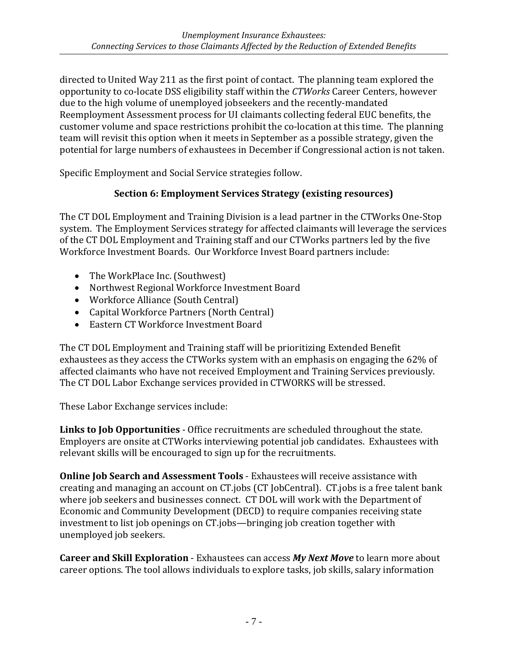directed to United Way 211 as the first point of contact. The planning team explored the opportunity to co‐locate DSS eligibility staff within the *CTWorks* Career Centers, however due to the high volume of unemployed jobseekers and the recently‐mandated Reemployment Assessment process for UI claimants collecting federal EUC benefits, the customer volume and space restrictions prohibit the co‐location at this time. The planning team will revisit this option when it meets in September as a possible strategy, given the potential for large numbers of exhaustees in December if Congressional action is not taken.

Specific Employment and Social Service strategies follow.

#### **Section 6: Employment Services Strategy (existing resources)**

The CT DOL Employment and Training Division is a lead partner in the CTWorks One‐Stop system. The Employment Services strategy for affected claimants will leverage the services of the CT DOL Employment and Training staff and our CTWorks partners led by the five Workforce Investment Boards. Our Workforce Invest Board partners include:

- The WorkPlace Inc. (Southwest)
- Northwest Regional Workforce Investment Board
- Workforce Alliance (South Central)
- Capital Workforce Partners (North Central)
- Eastern CT Workforce Investment Board

The CT DOL Employment and Training staff will be prioritizing Extended Benefit exhaustees as they access the CTWorks system with an emphasis on engaging the 62% of affected claimants who have not received Employment and Training Services previously. The CT DOL Labor Exchange services provided in CTWORKS will be stressed.

These Labor Exchange services include:

**Links to Job Opportunities** ‐ Office recruitments are scheduled throughout the state. Employers are onsite at CTWorks interviewing potential job candidates. Exhaustees with relevant skills will be encouraged to sign up for the recruitments.

**Online Job Search and Assessment Tools** ‐ Exhaustees will receive assistance with creating and managing an account on CT.jobs (CT JobCentral). CT.jobs is a free talent bank where job seekers and businesses connect. CT DOL will work with the Department of Economic and Community Development (DECD) to require companies receiving state investment to list job openings on CT.jobs—bringing job creation together with unemployed job seekers.

**Career and Skill Exploration** ‐ Exhaustees can access *My Next Move* to learn more about career options. The tool allows individuals to explore tasks, job skills, salary information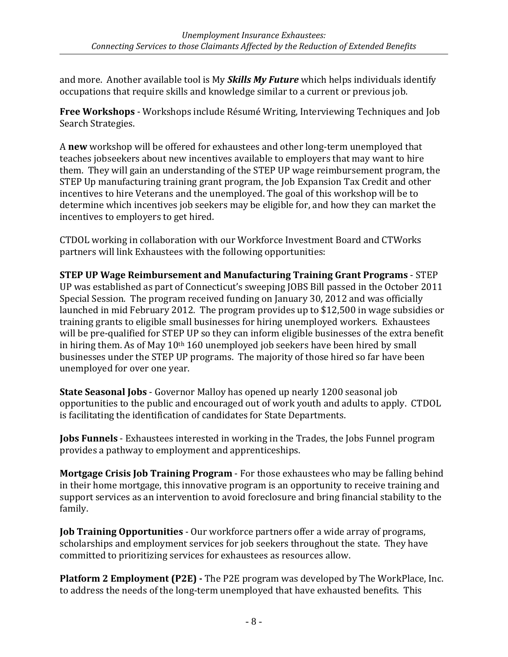and more. Another available tool is My *Skills My Future* which helps individuals identify occupations that require skills and knowledge similar to a current or previous job.

**Free Workshops** ‐ Workshops include Résumé Writing, Interviewing Techniques and Job Search Strategies.

A **new** workshop will be offered for exhaustees and other long‐term unemployed that teaches jobseekers about new incentives available to employers that may want to hire them. They will gain an understanding of the STEP UP wage reimbursement program, the STEP Up manufacturing training grant program, the Job Expansion Tax Credit and other incentives to hire Veterans and the unemployed. The goal of this workshop will be to determine which incentives job seekers may be eligible for, and how they can market the incentives to employers to get hired.

CTDOL working in collaboration with our Workforce Investment Board and CTWorks partners will link Exhaustees with the following opportunities:

**STEP UP Wage Reimbursement and Manufacturing Training Grant Programs** ‐ STEP UP was established as part of Connecticut's sweeping JOBS Bill passed in the October 2011 Special Session. The program received funding on January 30, 2012 and was officially launched in mid February 2012. The program provides up to \$12,500 in wage subsidies or training grants to eligible small businesses for hiring unemployed workers. Exhaustees will be pre-qualified for STEP UP so they can inform eligible businesses of the extra benefit in hiring them. As of May  $10<sup>th</sup> 160$  unemployed job seekers have been hired by small businesses under the STEP UP programs. The majority of those hired so far have been unemployed for over one year.

**State Seasonal Jobs** ‐ Governor Malloy has opened up nearly 1200 seasonal job opportunities to the public and encouraged out of work youth and adults to apply. CTDOL is facilitating the identification of candidates for State Departments.

**Jobs Funnels** ‐ Exhaustees interested in working in the Trades, the Jobs Funnel program provides a pathway to employment and apprenticeships.

**Mortgage Crisis Job Training Program** ‐ For those exhaustees who may be falling behind in their home mortgage, this innovative program is an opportunity to receive training and support services as an intervention to avoid foreclosure and bring financial stability to the family.

**Job Training Opportunities** ‐ Our workforce partners offer a wide array of programs, scholarships and employment services for job seekers throughout the state. They have committed to prioritizing services for exhaustees as resources allow.

**Platform 2 Employment (P2E)** The P2E program was developed by The WorkPlace, Inc. to address the needs of the long‐term unemployed that have exhausted benefits. This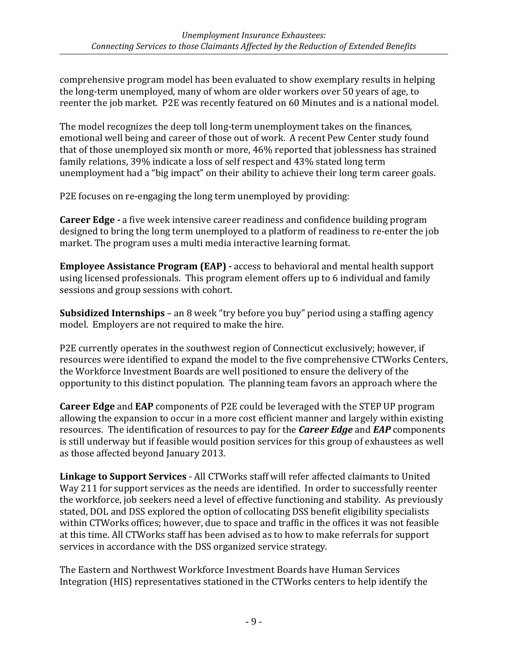comprehensive program model has been evaluated to show exemplary results in helping the long‐term unemployed, many of whom are older workers over 50 years of age, to reenter the job market. P2E was recently featured on 60 Minutes and is a national model.

The model recognizes the deep toll long-term unemployment takes on the finances, emotional well being and career of those out of work. A recent Pew Center study found that of those unemployed six month or more, 46% reported that joblessness has strained family relations, 39% indicate a loss of self respect and 43% stated long term unemployment had a "big impact" on their ability to achieve their long term career goals.

P2E focuses on re-engaging the long term unemployed by providing:

**Career Edge** a five week intensive career readiness and confidence building program designed to bring the long term unemployed to a platform of readiness to re‐enter the job market. The program uses a multi media interactive learning format.

**Employee Assistance Program (EAP)** access to behavioral and mental health support using licensed professionals. This program element offers up to 6 individual and family sessions and group sessions with cohort.

**Subsidized Internships** – an 8 week "try before you buy" period using a staffing agency model. Employers are not required to make the hire.

P2E currently operates in the southwest region of Connecticut exclusively; however, if resources were identified to expand the model to the five comprehensive CTWorks Centers, the Workforce Investment Boards are well positioned to ensure the delivery of the opportunity to this distinct population. The planning team favors an approach where the

**Career Edge** and **EAP** components of P2E could be leveraged with the STEP UP program allowing the expansion to occur in a more cost efficient manner and largely within existing resources. The identification of resources to pay for the *Career Edge* and *EAP* components is still underway but if feasible would position services for this group of exhaustees as well as those affected beyond January 2013.

**Linkage to Support Services** ‐ All CTWorks staff will refer affected claimants to United Way 211 for support services as the needs are identified. In order to successfully reenter the workforce, job seekers need a level of effective functioning and stability. As previously stated, DOL and DSS explored the option of collocating DSS benefit eligibility specialists within CTWorks offices; however, due to space and traffic in the offices it was not feasible at this time. All CTWorks staff has been advised as to how to make referrals for support services in accordance with the DSS organized service strategy.

The Eastern and Northwest Workforce Investment Boards have Human Services Integration (HIS) representatives stationed in the CTWorks centers to help identify the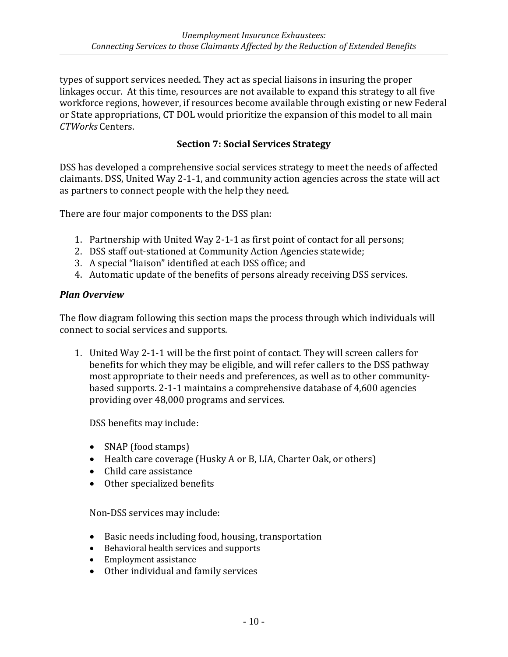types of support services needed. They act as special liaisons in insuring the proper linkages occur. At this time, resources are not available to expand this strategy to all five workforce regions, however, if resources become available through existing or new Federal or State appropriations, CT DOL would prioritize the expansion of this model to all main *CTWorks* Centers.

# **Section 7: Social Services Strategy**

DSS has developed a comprehensive social services strategy to meet the needs of affected claimants. DSS, United Way 2‐1‐1, and community action agencies across the state will act as partners to connect people with the help they need.

There are four major components to the DSS plan:

- 1. Partnership with United Way 2‐1‐1 as first point of contact for all persons;
- 2. DSS staff out‐stationed at Community Action Agencies statewide;
- 3. A special "liaison" identified at each DSS office; and
- 4. Automatic update of the benefits of persons already receiving DSS services.

#### *Plan Overview*

The flow diagram following this section maps the process through which individuals will connect to social services and supports.

1. United Way 2‐1‐1 will be the first point of contact. They will screen callers for benefits for which they may be eligible, and will refer callers to the DSS pathway most appropriate to their needs and preferences, as well as to other community‐ based supports. 2‐1‐1 maintains a comprehensive database of 4,600 agencies providing over 48,000 programs and services.

DSS benefits may include:

- SNAP (food stamps)
- Health care coverage (Husky A or B, LIA, Charter Oak, or others)
- Child care assistance
- Other specialized benefits

Non‐DSS services may include:

- Basic needs including food, housing, transportation
- Behavioral health services and supports
- Employment assistance
- Other individual and family services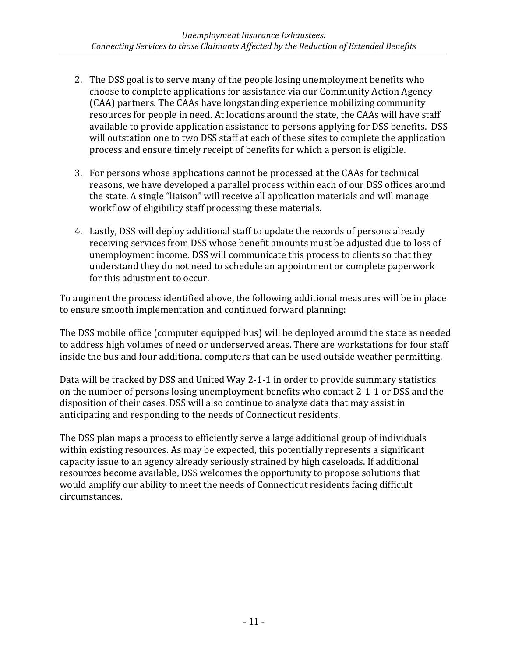- 2. The DSS goal is to serve many of the people losing unemployment benefits who choose to complete applications for assistance via our Community Action Agency (CAA) partners. The CAAs have longstanding experience mobilizing community resources for people in need. At locations around the state, the CAAs will have staff available to provide application assistance to persons applying for DSS benefits. DSS will outstation one to two DSS staff at each of these sites to complete the application process and ensure timely receipt of benefits for which a person is eligible.
- 3. For persons whose applications cannot be processed at the CAAs for technical reasons, we have developed a parallel process within each of our DSS offices around the state. A single "liaison" will receive all application materials and will manage workflow of eligibility staff processing these materials.
- 4. Lastly, DSS will deploy additional staff to update the records of persons already receiving services from DSS whose benefit amounts must be adjusted due to loss of unemployment income. DSS will communicate this process to clients so that they understand they do not need to schedule an appointment or complete paperwork for this adjustment to occur.

To augment the process identified above, the following additional measures will be in place to ensure smooth implementation and continued forward planning:

The DSS mobile office (computer equipped bus) will be deployed around the state as needed to address high volumes of need or underserved areas. There are workstations for four staff inside the bus and four additional computers that can be used outside weather permitting.

Data will be tracked by DSS and United Way 2‐1‐1 in order to provide summary statistics on the number of persons losing unemployment benefits who contact 2‐1‐1 or DSS and the disposition of their cases. DSS will also continue to analyze data that may assist in anticipating and responding to the needs of Connecticut residents.

The DSS plan maps a process to efficiently serve a large additional group of individuals within existing resources. As may be expected, this potentially represents a significant capacity issue to an agency already seriously strained by high caseloads. If additional resources become available, DSS welcomes the opportunity to propose solutions that would amplify our ability to meet the needs of Connecticut residents facing difficult circumstances.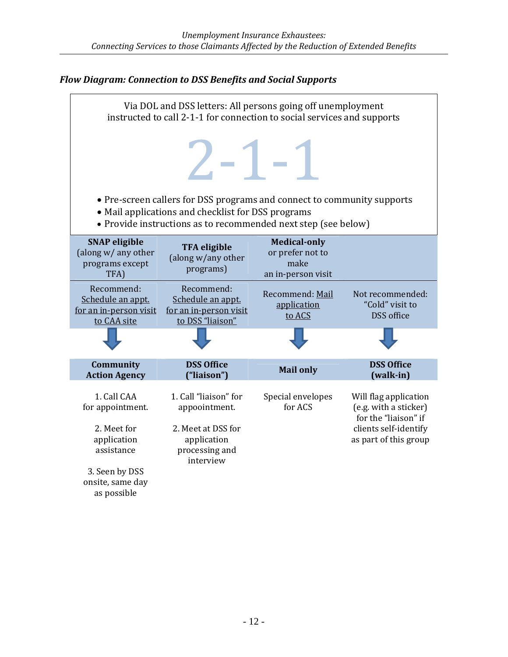#### *Flow Diagram: Connection to DSS Benefits and Social Supports*

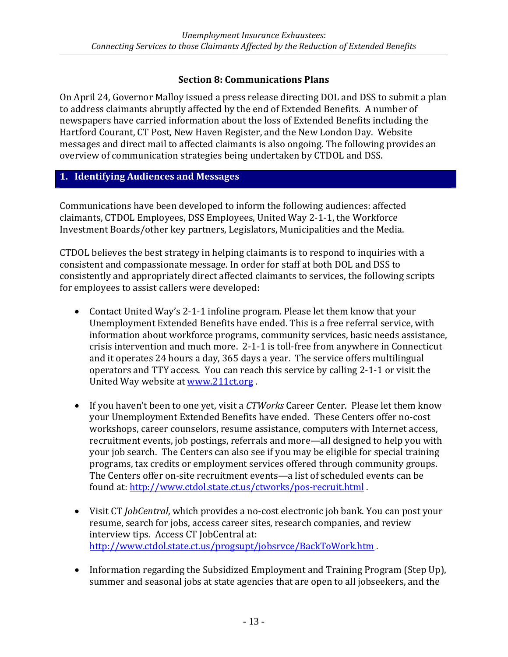## **Section 8: Communications Plans**

On April 24, Governor Malloy issued a press release directing DOL and DSS to submit a plan to address claimants abruptly affected by the end of Extended Benefits. A number of newspapers have carried information about the loss of Extended Benefits including the Hartford Courant, CT Post, New Haven Register, and the New London Day. Website messages and direct mail to affected claimants is also ongoing. The following provides an overview of communication strategies being undertaken by CTDOL and DSS.

#### **1. Identifying Audiences and Messages**

Communications have been developed to inform the following audiences: affected claimants, CTDOL Employees, DSS Employees, United Way 2‐1‐1, the Workforce Investment Boards/other key partners, Legislators, Municipalities and the Media.

CTDOL believes the best strategy in helping claimants is to respond to inquiries with a consistent and compassionate message. In order for staff at both DOL and DSS to consistently and appropriately direct affected claimants to services, the following scripts for employees to assist callers were developed:

- Contact United Way's 2‐1‐1 infoline program. Please let them know that your Unemployment Extended Benefits have ended. This is a free referral service, with information about workforce programs, community services, basic needs assistance, crisis intervention and much more. 2‐1‐1 is toll‐free from anywhere in Connecticut and it operates 24 hours a day, 365 days a year. The service offers multilingual operators and TTY access. You can reach this service by calling 2‐1‐1 or visit the United Way website at www.211ct.org.
- If you haven't been to one yet, visit a *CTWorks* Career Center. Please let them know your Unemployment Extended Benefits have ended. These Centers offer no‐cost workshops, career counselors, resume assistance, computers with Internet access, recruitment events, job postings, referrals and more—all designed to help you with your job search. The Centers can also see if you may be eligible for special training programs, tax credits or employment services offered through community groups. The Centers offer on-site recruitment events—a list of scheduled events can be found at: http://www.ctdol.state.ct.us/ctworks/pos-recruit.html.
- Visit CT *JobCentral*, which provides a no‐cost electronic job bank. You can post your resume, search for jobs, access career sites, research companies, and review interview tips. Access CT JobCentral at: http://www.ctdol.state.ct.us/progsupt/jobsrvce/BackToWork.htm .
- Information regarding the Subsidized Employment and Training Program (Step Up), summer and seasonal jobs at state agencies that are open to all jobseekers, and the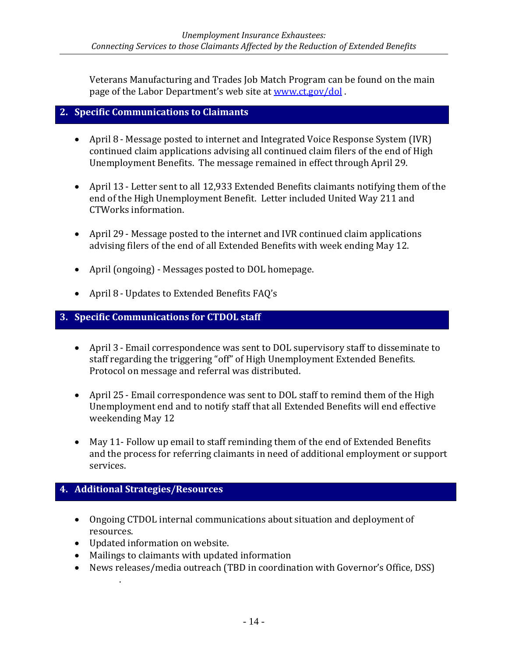Veterans Manufacturing and Trades Job Match Program can be found on the main page of the Labor Department's web site at www.ct.gov/dol .

#### **2. Specific Communications to Claimants**

- April 8 Message posted to internet and Integrated Voice Response System (IVR) continued claim applications advising all continued claim filers of the end of High Unemployment Benefits. The message remained in effect through April 29.
- April 13 ‐ Letter sent to all 12,933 Extended Benefits claimants notifying them of the end of the High Unemployment Benefit. Letter included United Way 211 and CTWorks information.
- April 29 Message posted to the internet and IVR continued claim applications advising filers of the end of all Extended Benefits with week ending May 12.
- April (ongoing) ‐ Messages posted to DOL homepage.
- April 8 Updates to Extended Benefits FAQ's

# **3. Specific Communications for CTDOL staff**

- April 3 ‐ Email correspondence was sent to DOL supervisory staff to disseminate to staff regarding the triggering "off" of High Unemployment Extended Benefits. Protocol on message and referral was distributed.
- April 25 Email correspondence was sent to DOL staff to remind them of the High Unemployment end and to notify staff that all Extended Benefits will end effective weekending May 12
- May 11- Follow up email to staff reminding them of the end of Extended Benefits and the process for referring claimants in need of additional employment or support services.

# **4. Additional Strategies/Resources**

- Ongoing CTDOL internal communications about situation and deployment of resources.
- Updated information on website.

.

- Mailings to claimants with updated information
- News releases/media outreach (TBD in coordination with Governor's Office, DSS)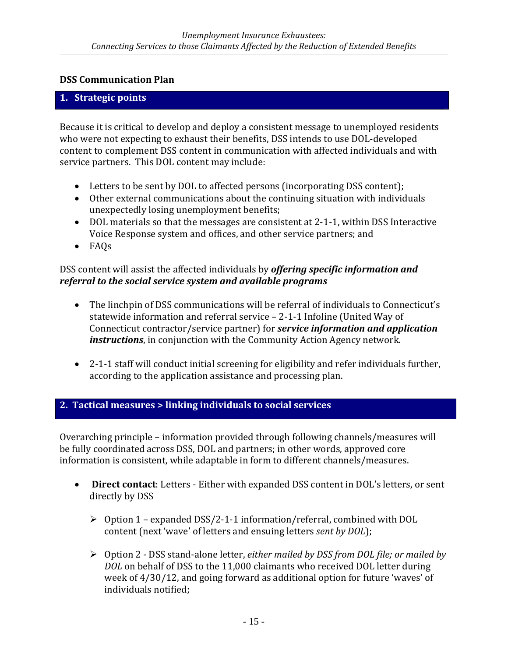#### **DSS Communication Plan**

# **1. Strategic points**

Because it is critical to develop and deploy a consistent message to unemployed residents who were not expecting to exhaust their benefits, DSS intends to use DOL-developed content to complement DSS content in communication with affected individuals and with service partners. This DOL content may include:

- Letters to be sent by DOL to affected persons (incorporating DSS content);
- Other external communications about the continuing situation with individuals unexpectedly losing unemployment benefits;
- DOL materials so that the messages are consistent at 2‐1‐1, within DSS Interactive Voice Response system and offices, and other service partners; and
- FAQs

## DSS content will assist the affected individuals by *offering specific information and referral to the social service system and available programs*

- The linchpin of DSS communications will be referral of individuals to Connecticut's statewide information and referral service – 2‐1‐1 Infoline (United Way of Connecticut contractor/service partner) for *service information and application instructions*, in conjunction with the Community Action Agency network.
- 2‐1‐1 staff will conduct initial screening for eligibility and refer individuals further, according to the application assistance and processing plan.

# **2. Tactical measures > linking individuals to social services**

Overarching principle – information provided through following channels/measures will be fully coordinated across DSS, DOL and partners; in other words, approved core information is consistent, while adaptable in form to different channels/measures.

- **Direct contact**: Letters ‐ Either with expanded DSS content in DOL's letters, or sent directly by DSS
	- Option 1 expanded DSS/2‐1‐1 information/referral, combined with DOL content (next 'wave' of letters and ensuing letters *sent by DOL*);
	- Option 2 ‐ DSS stand‐alone letter, *either mailed by DSS from DOL file; or mailed by DOL* on behalf of DSS to the 11,000 claimants who received DOL letter during week of 4/30/12, and going forward as additional option for future 'waves' of individuals notified;